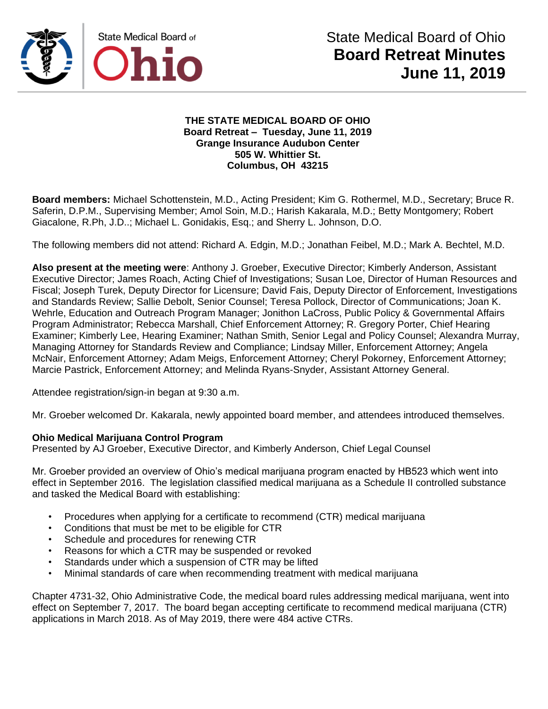

#### **THE STATE MEDICAL BOARD OF OHIO Board Retreat – Tuesday, June 11, 2019 Grange Insurance Audubon Center 505 W. Whittier St. Columbus, OH 43215**

**Board members:** Michael Schottenstein, M.D., Acting President; Kim G. Rothermel, M.D., Secretary; Bruce R. Saferin, D.P.M., Supervising Member; Amol Soin, M.D.; Harish Kakarala, M.D.; Betty Montgomery; Robert Giacalone, R.Ph, J.D..; Michael L. Gonidakis, Esq.; and Sherry L. Johnson, D.O.

The following members did not attend: Richard A. Edgin, M.D.; Jonathan Feibel, M.D.; Mark A. Bechtel, M.D.

**Also present at the meeting were**: Anthony J. Groeber, Executive Director; Kimberly Anderson, Assistant Executive Director; James Roach, Acting Chief of Investigations; Susan Loe, Director of Human Resources and Fiscal; Joseph Turek, Deputy Director for Licensure; David Fais, Deputy Director of Enforcement, Investigations and Standards Review; Sallie Debolt, Senior Counsel; Teresa Pollock, Director of Communications; Joan K. Wehrle, Education and Outreach Program Manager; Jonithon LaCross, Public Policy & Governmental Affairs Program Administrator; Rebecca Marshall, Chief Enforcement Attorney; R. Gregory Porter, Chief Hearing Examiner; Kimberly Lee, Hearing Examiner; Nathan Smith, Senior Legal and Policy Counsel; Alexandra Murray, Managing Attorney for Standards Review and Compliance; Lindsay Miller, Enforcement Attorney; Angela McNair, Enforcement Attorney; Adam Meigs, Enforcement Attorney; Cheryl Pokorney, Enforcement Attorney; Marcie Pastrick, Enforcement Attorney; and Melinda Ryans-Snyder, Assistant Attorney General.

Attendee registration/sign-in began at 9:30 a.m.

Mr. Groeber welcomed Dr. Kakarala, newly appointed board member, and attendees introduced themselves.

### **Ohio Medical Marijuana Control Program**

Presented by AJ Groeber, Executive Director, and Kimberly Anderson, Chief Legal Counsel

Mr. Groeber provided an overview of Ohio's medical marijuana program enacted by HB523 which went into effect in September 2016. The legislation classified medical marijuana as a Schedule II controlled substance and tasked the Medical Board with establishing:

- Procedures when applying for a certificate to recommend (CTR) medical marijuana
- Conditions that must be met to be eligible for CTR
- Schedule and procedures for renewing CTR
- Reasons for which a CTR may be suspended or revoked
- Standards under which a suspension of CTR may be lifted
- Minimal standards of care when recommending treatment with medical marijuana

Chapter 4731-32, Ohio Administrative Code, the medical board rules addressing medical marijuana, went into effect on September 7, 2017. The board began accepting certificate to recommend medical marijuana (CTR) applications in March 2018. As of May 2019, there were 484 active CTRs.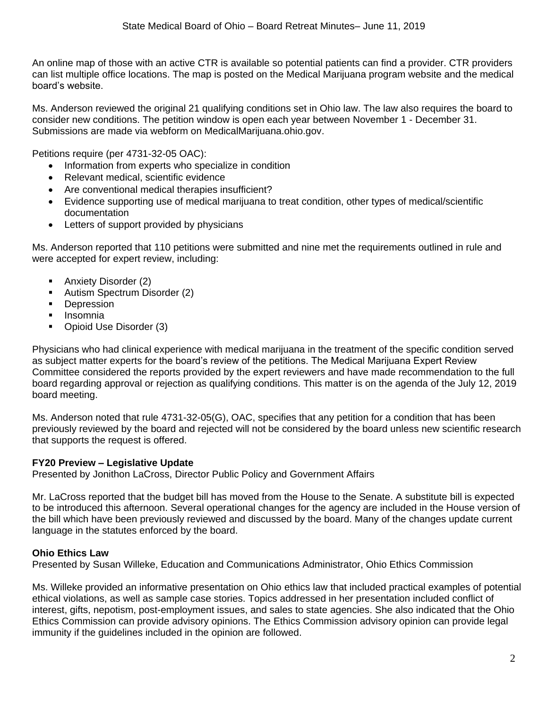An online map of those with an active CTR is available so potential patients can find a provider. CTR providers can list multiple office locations. The map is posted on the Medical Marijuana program website and the medical board's website.

Ms. Anderson reviewed the original 21 qualifying conditions set in Ohio law. The law also requires the board to consider new conditions. The petition window is open each year between November 1 - December 31. Submissions are made via webform on MedicalMarijuana.ohio.gov.

Petitions require (per 4731-32-05 OAC):

- Information from experts who specialize in condition
- Relevant medical, scientific evidence
- Are conventional medical therapies insufficient?
- Evidence supporting use of medical marijuana to treat condition, other types of medical/scientific documentation
- Letters of support provided by physicians

Ms. Anderson reported that 110 petitions were submitted and nine met the requirements outlined in rule and were accepted for expert review, including:

- Anxiety Disorder (2)
- Autism Spectrum Disorder (2)
- Depression
- **Insomnia**
- Opioid Use Disorder (3)

Physicians who had clinical experience with medical marijuana in the treatment of the specific condition served as subject matter experts for the board's review of the petitions. The Medical Marijuana Expert Review Committee considered the reports provided by the expert reviewers and have made recommendation to the full board regarding approval or rejection as qualifying conditions. This matter is on the agenda of the July 12, 2019 board meeting.

Ms. Anderson noted that rule 4731-32-05(G), OAC, specifies that any petition for a condition that has been previously reviewed by the board and rejected will not be considered by the board unless new scientific research that supports the request is offered.

#### **FY20 Preview – Legislative Update**

Presented by Jonithon LaCross, Director Public Policy and Government Affairs

Mr. LaCross reported that the budget bill has moved from the House to the Senate. A substitute bill is expected to be introduced this afternoon. Several operational changes for the agency are included in the House version of the bill which have been previously reviewed and discussed by the board. Many of the changes update current language in the statutes enforced by the board.

### **Ohio Ethics Law**

Presented by Susan Willeke, Education and Communications Administrator, Ohio Ethics Commission

Ms. Willeke provided an informative presentation on Ohio ethics law that included practical examples of potential ethical violations, as well as sample case stories. Topics addressed in her presentation included conflict of interest, gifts, nepotism, post-employment issues, and sales to state agencies. She also indicated that the Ohio Ethics Commission can provide advisory opinions. The Ethics Commission advisory opinion can provide legal immunity if the guidelines included in the opinion are followed.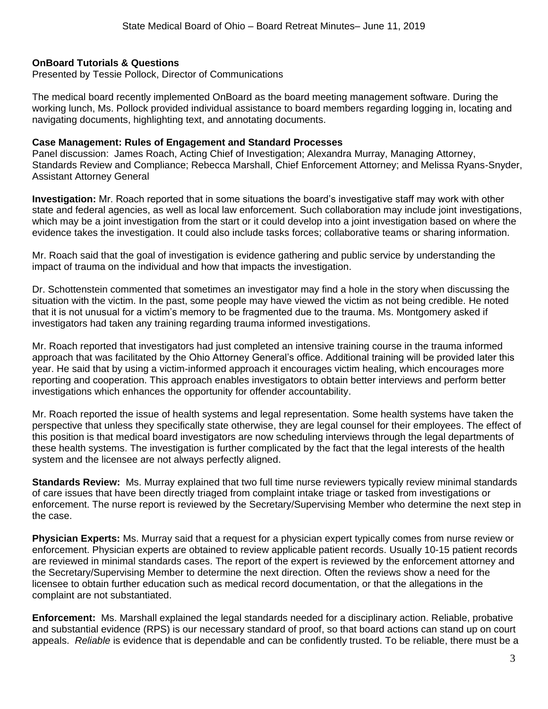#### **OnBoard Tutorials & Questions**

Presented by Tessie Pollock, Director of Communications

The medical board recently implemented OnBoard as the board meeting management software. During the working lunch, Ms. Pollock provided individual assistance to board members regarding logging in, locating and navigating documents, highlighting text, and annotating documents.

#### **Case Management: Rules of Engagement and Standard Processes**

Panel discussion: James Roach, Acting Chief of Investigation; Alexandra Murray, Managing Attorney, Standards Review and Compliance; Rebecca Marshall, Chief Enforcement Attorney; and Melissa Ryans-Snyder, Assistant Attorney General

**Investigation:** Mr. Roach reported that in some situations the board's investigative staff may work with other state and federal agencies, as well as local law enforcement. Such collaboration may include joint investigations, which may be a joint investigation from the start or it could develop into a joint investigation based on where the evidence takes the investigation. It could also include tasks forces; collaborative teams or sharing information.

Mr. Roach said that the goal of investigation is evidence gathering and public service by understanding the impact of trauma on the individual and how that impacts the investigation.

Dr. Schottenstein commented that sometimes an investigator may find a hole in the story when discussing the situation with the victim. In the past, some people may have viewed the victim as not being credible. He noted that it is not unusual for a victim's memory to be fragmented due to the trauma. Ms. Montgomery asked if investigators had taken any training regarding trauma informed investigations.

Mr. Roach reported that investigators had just completed an intensive training course in the trauma informed approach that was facilitated by the Ohio Attorney General's office. Additional training will be provided later this year. He said that by using a victim-informed approach it encourages victim healing, which encourages more reporting and cooperation. This approach enables investigators to obtain better interviews and perform better investigations which enhances the opportunity for offender accountability.

Mr. Roach reported the issue of health systems and legal representation. Some health systems have taken the perspective that unless they specifically state otherwise, they are legal counsel for their employees. The effect of this position is that medical board investigators are now scheduling interviews through the legal departments of these health systems. The investigation is further complicated by the fact that the legal interests of the health system and the licensee are not always perfectly aligned.

**Standards Review:** Ms. Murray explained that two full time nurse reviewers typically review minimal standards of care issues that have been directly triaged from complaint intake triage or tasked from investigations or enforcement. The nurse report is reviewed by the Secretary/Supervising Member who determine the next step in the case.

**Physician Experts:** Ms. Murray said that a request for a physician expert typically comes from nurse review or enforcement. Physician experts are obtained to review applicable patient records. Usually 10-15 patient records are reviewed in minimal standards cases. The report of the expert is reviewed by the enforcement attorney and the Secretary/Supervising Member to determine the next direction. Often the reviews show a need for the licensee to obtain further education such as medical record documentation, or that the allegations in the complaint are not substantiated.

**Enforcement:** Ms. Marshall explained the legal standards needed for a disciplinary action. Reliable, probative and substantial evidence (RPS) is our necessary standard of proof, so that board actions can stand up on court appeals. *Reliable* is evidence that is dependable and can be confidently trusted. To be reliable, there must be a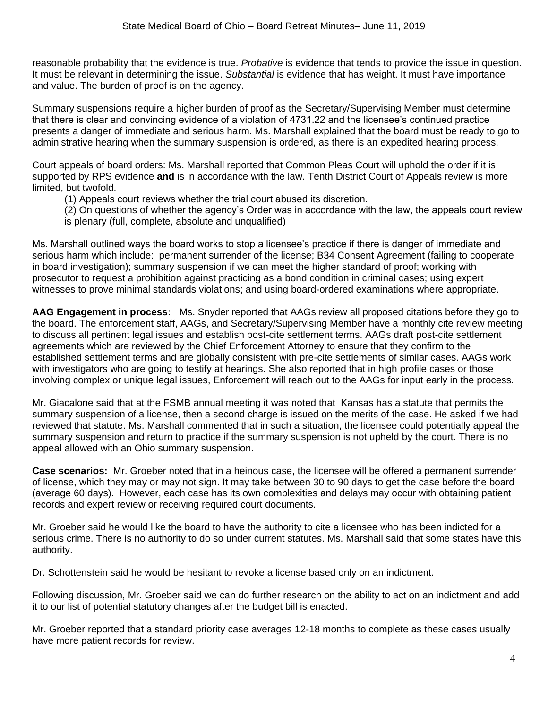reasonable probability that the evidence is true. *Probative* is evidence that tends to provide the issue in question. It must be relevant in determining the issue. *Substantial* is evidence that has weight. It must have importance and value. The burden of proof is on the agency.

Summary suspensions require a higher burden of proof as the Secretary/Supervising Member must determine that there is clear and convincing evidence of a violation of 4731.22 and the licensee's continued practice presents a danger of immediate and serious harm. Ms. Marshall explained that the board must be ready to go to administrative hearing when the summary suspension is ordered, as there is an expedited hearing process.

Court appeals of board orders: Ms. Marshall reported that Common Pleas Court will uphold the order if it is supported by RPS evidence **and** is in accordance with the law. Tenth District Court of Appeals review is more limited, but twofold.

- (1) Appeals court reviews whether the trial court abused its discretion.
- (2) On questions of whether the agency's Order was in accordance with the law, the appeals court review is plenary (full, complete, absolute and unqualified)

Ms. Marshall outlined ways the board works to stop a licensee's practice if there is danger of immediate and serious harm which include: permanent surrender of the license; B34 Consent Agreement (failing to cooperate in board investigation); summary suspension if we can meet the higher standard of proof; working with prosecutor to request a prohibition against practicing as a bond condition in criminal cases; using expert witnesses to prove minimal standards violations; and using board-ordered examinations where appropriate.

**AAG Engagement in process:** Ms. Snyder reported that AAGs review all proposed citations before they go to the board. The enforcement staff, AAGs, and Secretary/Supervising Member have a monthly cite review meeting to discuss all pertinent legal issues and establish post-cite settlement terms. AAGs draft post-cite settlement agreements which are reviewed by the Chief Enforcement Attorney to ensure that they confirm to the established settlement terms and are globally consistent with pre-cite settlements of similar cases. AAGs work with investigators who are going to testify at hearings. She also reported that in high profile cases or those involving complex or unique legal issues, Enforcement will reach out to the AAGs for input early in the process.

Mr. Giacalone said that at the FSMB annual meeting it was noted that Kansas has a statute that permits the summary suspension of a license, then a second charge is issued on the merits of the case. He asked if we had reviewed that statute. Ms. Marshall commented that in such a situation, the licensee could potentially appeal the summary suspension and return to practice if the summary suspension is not upheld by the court. There is no appeal allowed with an Ohio summary suspension.

**Case scenarios:** Mr. Groeber noted that in a heinous case, the licensee will be offered a permanent surrender of license, which they may or may not sign. It may take between 30 to 90 days to get the case before the board (average 60 days). However, each case has its own complexities and delays may occur with obtaining patient records and expert review or receiving required court documents.

Mr. Groeber said he would like the board to have the authority to cite a licensee who has been indicted for a serious crime. There is no authority to do so under current statutes. Ms. Marshall said that some states have this authority.

Dr. Schottenstein said he would be hesitant to revoke a license based only on an indictment.

Following discussion, Mr. Groeber said we can do further research on the ability to act on an indictment and add it to our list of potential statutory changes after the budget bill is enacted.

Mr. Groeber reported that a standard priority case averages 12-18 months to complete as these cases usually have more patient records for review.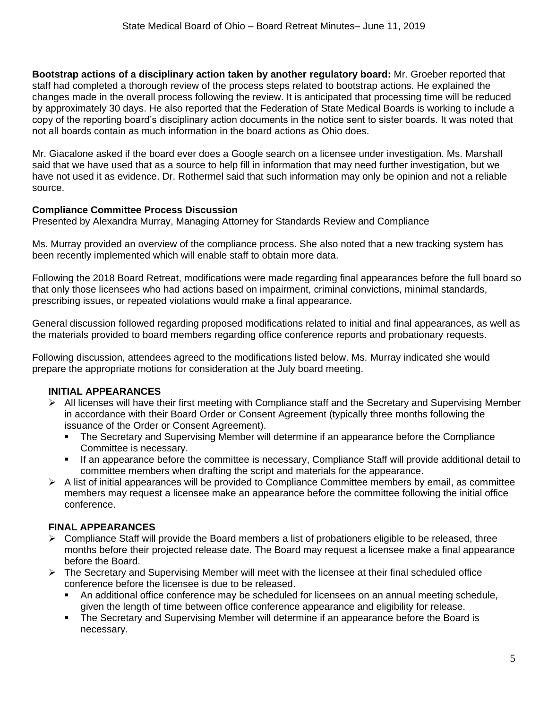**Bootstrap actions of a disciplinary action taken by another regulatory board:** Mr. Groeber reported that staff had completed a thorough review of the process steps related to bootstrap actions. He explained the changes made in the overall process following the review. It is anticipated that processing time will be reduced by approximately 30 days. He also reported that the Federation of State Medical Boards is working to include a copy of the reporting board's disciplinary action documents in the notice sent to sister boards. It was noted that not all boards contain as much information in the board actions as Ohio does.

Mr. Giacalone asked if the board ever does a Google search on a licensee under investigation. Ms. Marshall said that we have used that as a source to help fill in information that may need further investigation, but we have not used it as evidence. Dr. Rothermel said that such information may only be opinion and not a reliable source.

## **Compliance Committee Process Discussion**

Presented by Alexandra Murray, Managing Attorney for Standards Review and Compliance

Ms. Murray provided an overview of the compliance process. She also noted that a new tracking system has been recently implemented which will enable staff to obtain more data.

Following the 2018 Board Retreat, modifications were made regarding final appearances before the full board so that only those licensees who had actions based on impairment, criminal convictions, minimal standards, prescribing issues, or repeated violations would make a final appearance.

General discussion followed regarding proposed modifications related to initial and final appearances, as well as the materials provided to board members regarding office conference reports and probationary requests.

Following discussion, attendees agreed to the modifications listed below. Ms. Murray indicated she would prepare the appropriate motions for consideration at the July board meeting.

# **INITIAL APPEARANCES**

- ➢ All licenses will have their first meeting with Compliance staff and the Secretary and Supervising Member in accordance with their Board Order or Consent Agreement (typically three months following the issuance of the Order or Consent Agreement).
	- The Secretary and Supervising Member will determine if an appearance before the Compliance Committee is necessary.
	- If an appearance before the committee is necessary, Compliance Staff will provide additional detail to committee members when drafting the script and materials for the appearance.
- $\triangleright$  A list of initial appearances will be provided to Compliance Committee members by email, as committee members may request a licensee make an appearance before the committee following the initial office conference.

# **FINAL APPEARANCES**

- $\triangleright$  Compliance Staff will provide the Board members a list of probationers eligible to be released, three months before their projected release date. The Board may request a licensee make a final appearance before the Board.
- $\triangleright$  The Secretary and Supervising Member will meet with the licensee at their final scheduled office conference before the licensee is due to be released.
	- An additional office conference may be scheduled for licensees on an annual meeting schedule, given the length of time between office conference appearance and eligibility for release.
	- The Secretary and Supervising Member will determine if an appearance before the Board is necessary.